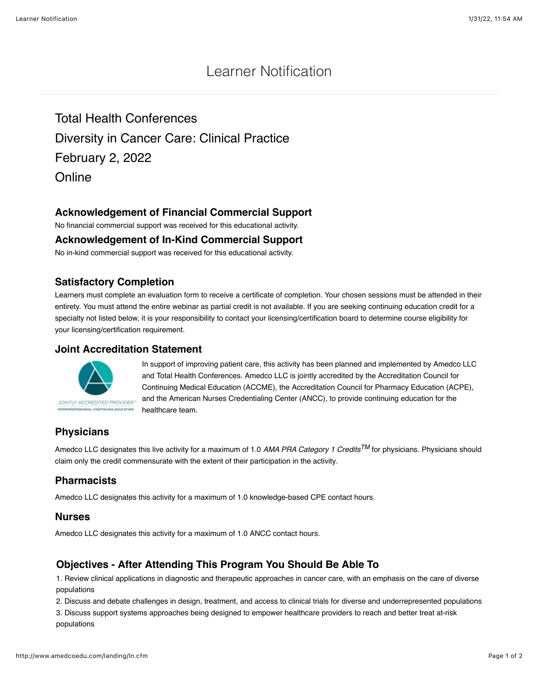# Learner Notification

Total Health Conferences Diversity in Cancer Care: Clinical Practice February 2, 2022 **Online** 

## **Acknowledgement of Financial Commercial Support**

No financial commercial support was received for this educational activity.

#### **Acknowledgement of In-Kind Commercial Support**

No in-kind commercial support was received for this educational activity.

### **Satisfactory Completion**

Learners must complete an evaluation form to receive a certificate of completion. Your chosen sessions must be attended in their entirety. You must attend the entire webinar as partial credit is not available. If you are seeking continuing education credit for a specialty not listed below, it is your responsibility to contact your licensing/certification board to determine course eligibility for your licensing/certification requirement.

#### **Joint Accreditation Statement**



In support of improving patient care, this activity has been planned and implemented by Amedco LLC and Total Health Conferences. Amedco LLC is jointly accredited by the Accreditation Council for Continuing Medical Education (ACCME), the Accreditation Council for Pharmacy Education (ACPE), and the American Nurses Credentialing Center (ANCC), to provide continuing education for the healthcare team.

# **Physicians**

Amedco LLC designates this live activity for a maximum of 1.0 *AMA PRA Category 1 CreditsTM* for physicians. Physicians should claim only the credit commensurate with the extent of their participation in the activity.

# **Pharmacists**

Amedco LLC designates this activity for a maximum of 1.0 knowledge-based CPE contact hours.

#### **Nurses**

Amedco LLC designates this activity for a maximum of 1.0 ANCC contact hours.

# **Objectives - After Attending This Program You Should Be Able To**

1. Review clinical applications in diagnostic and therapeutic approaches in cancer care, with an emphasis on the care of diverse populations

2. Discuss and debate challenges in design, treatment, and access to clinical trials for diverse and underrepresented populations

3. Discuss support systems approaches being designed to empower healthcare providers to reach and better treat at-risk populations